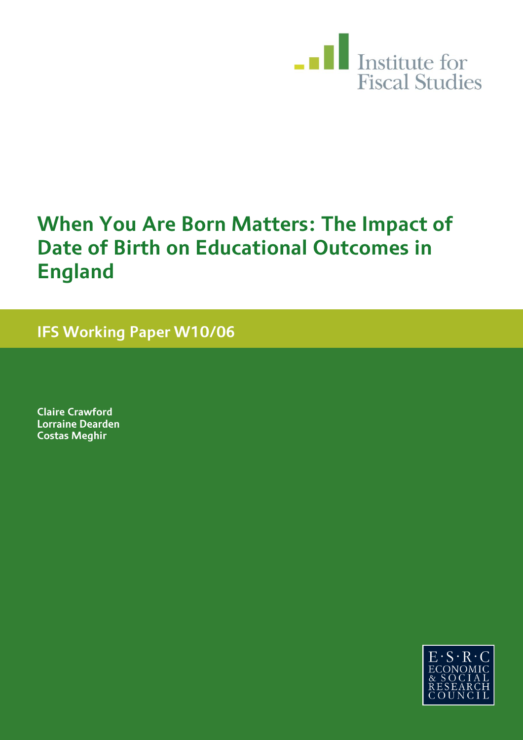

# **When You Are Born Matters: The Impact of Date of Birth on Educational Outcomes in England**

**IFS Working Paper W10/06** 

**Claire Crawford Lorraine Dearden Costas Meghir** 

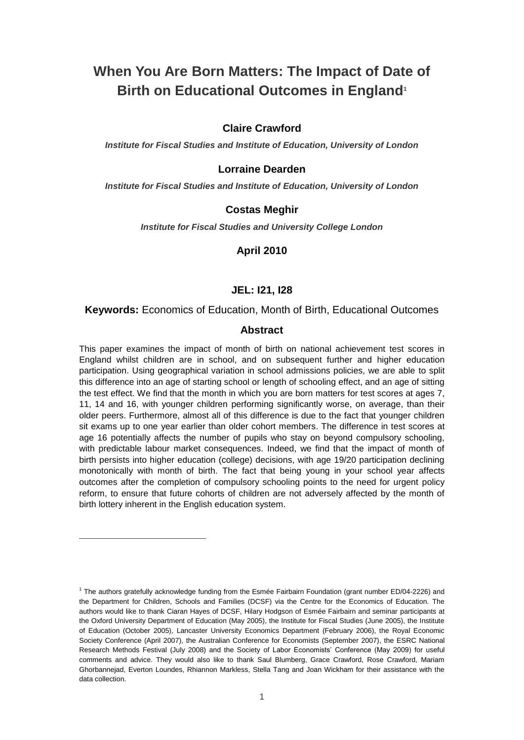# **When You Are Born Matters: The Impact of Date of Birth on Educational Outcomes in England<sup>1</sup>**

#### **Claire Crawford**

*Institute for Fiscal Studies and Institute of Education, University of London*

#### **Lorraine Dearden**

*Institute for Fiscal Studies and Institute of Education, University of London*

#### **Costas Meghir**

*Institute for Fiscal Studies and University College London*

#### **April 2010**

#### **JEL: I21, I28**

#### **Keywords:** Economics of Education, Month of Birth, Educational Outcomes

#### **Abstract**

This paper examines the impact of month of birth on national achievement test scores in England whilst children are in school, and on subsequent further and higher education participation. Using geographical variation in school admissions policies, we are able to split this difference into an age of starting school or length of schooling effect, and an age of sitting the test effect. We find that the month in which you are born matters for test scores at ages 7, 11, 14 and 16, with younger children performing significantly worse, on average, than their older peers. Furthermore, almost all of this difference is due to the fact that younger children sit exams up to one year earlier than older cohort members. The difference in test scores at age 16 potentially affects the number of pupils who stay on beyond compulsory schooling, with predictable labour market consequences. Indeed, we find that the impact of month of birth persists into higher education (college) decisions, with age 19/20 participation declining monotonically with month of birth. The fact that being young in your school year affects outcomes after the completion of compulsory schooling points to the need for urgent policy reform, to ensure that future cohorts of children are not adversely affected by the month of birth lottery inherent in the English education system.

 $\overline{a}$ 

<sup>&</sup>lt;sup>1</sup> The authors gratefully acknowledge funding from the Esmée Fairbairn Foundation (grant number ED/04-2226) and the Department for Children, Schools and Families (DCSF) via the Centre for the Economics of Education. The authors would like to thank Ciaran Hayes of DCSF, Hilary Hodgson of Esmée Fairbairn and seminar participants at the Oxford University Department of Education (May 2005), the Institute for Fiscal Studies (June 2005), the Institute of Education (October 2005), Lancaster University Economics Department (February 2006), the Royal Economic Society Conference (April 2007), the Australian Conference for Economists (September 2007), the ESRC National Research Methods Festival (July 2008) and the Society of Labor Economists" Conference (May 2009) for useful comments and advice. They would also like to thank Saul Blumberg, Grace Crawford, Rose Crawford, Mariam Ghorbannejad, Everton Loundes, Rhiannon Markless, Stella Tang and Joan Wickham for their assistance with the data collection.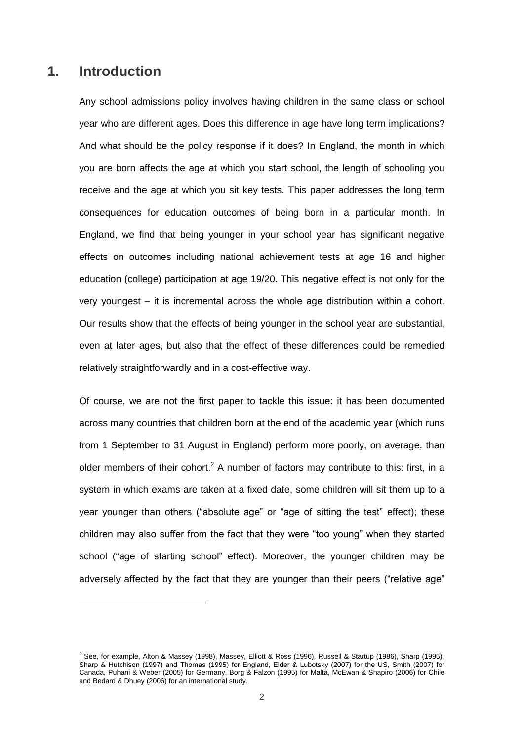### **1. Introduction**

-

Any school admissions policy involves having children in the same class or school year who are different ages. Does this difference in age have long term implications? And what should be the policy response if it does? In England, the month in which you are born affects the age at which you start school, the length of schooling you receive and the age at which you sit key tests. This paper addresses the long term consequences for education outcomes of being born in a particular month. In England, we find that being younger in your school year has significant negative effects on outcomes including national achievement tests at age 16 and higher education (college) participation at age 19/20. This negative effect is not only for the very youngest – it is incremental across the whole age distribution within a cohort. Our results show that the effects of being younger in the school year are substantial, even at later ages, but also that the effect of these differences could be remedied relatively straightforwardly and in a cost-effective way.

Of course, we are not the first paper to tackle this issue: it has been documented across many countries that children born at the end of the academic year (which runs from 1 September to 31 August in England) perform more poorly, on average, than older members of their cohort.<sup>2</sup> A number of factors may contribute to this: first, in a system in which exams are taken at a fixed date, some children will sit them up to a year younger than others ("absolute age" or "age of sitting the test" effect); these children may also suffer from the fact that they were "too young" when they started school ("age of starting school" effect). Moreover, the younger children may be adversely affected by the fact that they are younger than their peers ("relative age"

 $^2$  See, for example, Alton & Massey (1998), Massey, Elliott & Ross (1996), Russell & Startup (1986), Sharp (1995), Sharp & Hutchison (1997) and Thomas (1995) for England, Elder & Lubotsky (2007) for the US, Smith (2007) for Canada, Puhani & Weber (2005) for Germany, Borg & Falzon (1995) for Malta, McEwan & Shapiro (2006) for Chile and Bedard & Dhuey (2006) for an international study.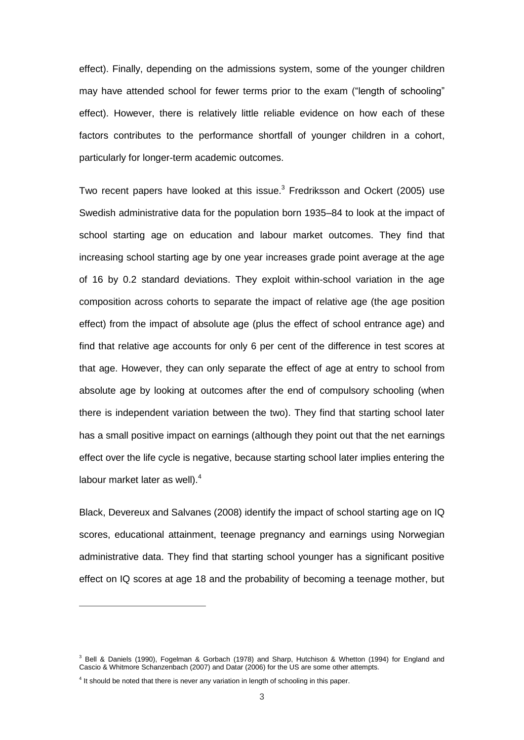effect). Finally, depending on the admissions system, some of the younger children may have attended school for fewer terms prior to the exam ("length of schooling" effect). However, there is relatively little reliable evidence on how each of these factors contributes to the performance shortfall of younger children in a cohort, particularly for longer-term academic outcomes.

Two recent papers have looked at this issue.<sup>3</sup> Fredriksson and Ockert (2005) use Swedish administrative data for the population born 1935–84 to look at the impact of school starting age on education and labour market outcomes. They find that increasing school starting age by one year increases grade point average at the age of 16 by 0.2 standard deviations. They exploit within-school variation in the age composition across cohorts to separate the impact of relative age (the age position effect) from the impact of absolute age (plus the effect of school entrance age) and find that relative age accounts for only 6 per cent of the difference in test scores at that age. However, they can only separate the effect of age at entry to school from absolute age by looking at outcomes after the end of compulsory schooling (when there is independent variation between the two). They find that starting school later has a small positive impact on earnings (although they point out that the net earnings effect over the life cycle is negative, because starting school later implies entering the labour market later as well).<sup>4</sup>

Black, Devereux and Salvanes (2008) identify the impact of school starting age on IQ scores, educational attainment, teenage pregnancy and earnings using Norwegian administrative data. They find that starting school younger has a significant positive effect on IQ scores at age 18 and the probability of becoming a teenage mother, but

 $\overline{a}$ 

<sup>&</sup>lt;sup>3</sup> Bell & Daniels (1990), Fogelman & Gorbach (1978) and Sharp, Hutchison & Whetton (1994) for England and Cascio & Whitmore Schanzenbach (2007) and Datar (2006) for the US are some other attempts.

 $<sup>4</sup>$  It should be noted that there is never any variation in length of schooling in this paper.</sup>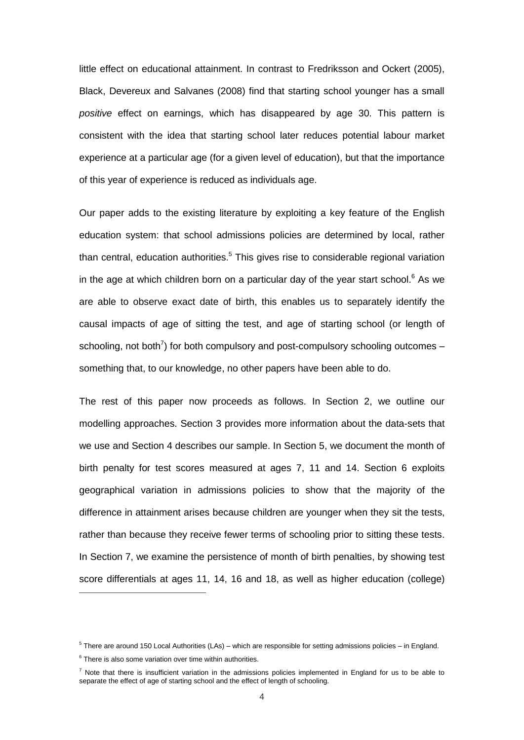little effect on educational attainment. In contrast to Fredriksson and Ockert (2005), Black, Devereux and Salvanes (2008) find that starting school younger has a small *positive* effect on earnings, which has disappeared by age 30. This pattern is consistent with the idea that starting school later reduces potential labour market experience at a particular age (for a given level of education), but that the importance of this year of experience is reduced as individuals age.

Our paper adds to the existing literature by exploiting a key feature of the English education system: that school admissions policies are determined by local, rather than central, education authorities.<sup>5</sup> This gives rise to considerable regional variation in the age at which children born on a particular day of the year start school. $6$  As we are able to observe exact date of birth, this enables us to separately identify the causal impacts of age of sitting the test, and age of starting school (or length of schooling, not both<sup>7</sup>) for both compulsory and post-compulsory schooling outcomes  $$ something that, to our knowledge, no other papers have been able to do.

The rest of this paper now proceeds as follows. In Section 2, we outline our modelling approaches. Section 3 provides more information about the data-sets that we use and Section 4 describes our sample. In Section 5, we document the month of birth penalty for test scores measured at ages 7, 11 and 14. Section 6 exploits geographical variation in admissions policies to show that the majority of the difference in attainment arises because children are younger when they sit the tests, rather than because they receive fewer terms of schooling prior to sitting these tests. In Section 7, we examine the persistence of month of birth penalties, by showing test score differentials at ages 11, 14, 16 and 18, as well as higher education (college)

<sup>5</sup> There are around 150 Local Authorities (LAs) – which are responsible for setting admissions policies – in England.

 $6$  There is also some variation over time within authorities.

 $<sup>7</sup>$  Note that there is insufficient variation in the admissions policies implemented in England for us to be able to</sup> separate the effect of age of starting school and the effect of length of schooling.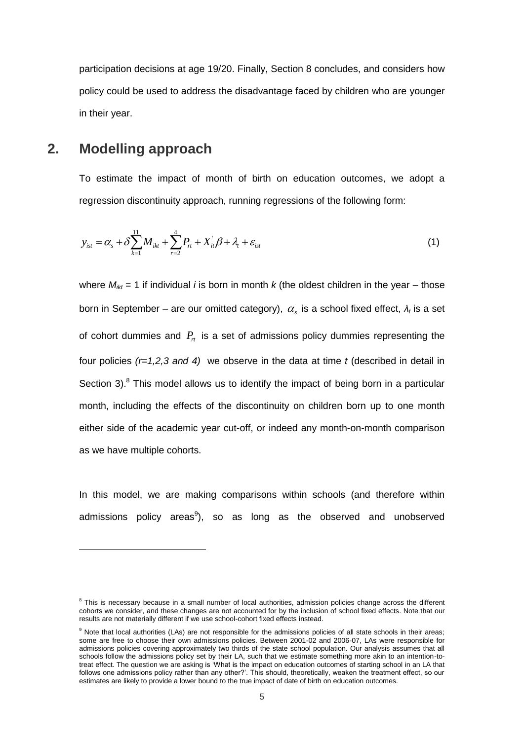participation decisions at age 19/20. Finally, Section 8 concludes, and considers how policy could be used to address the disadvantage faced by children who are younger in their year.

### **2. Modelling approach**

 $\overline{a}$ 

To estimate the impact of month of birth on education outcomes, we adopt a regression discontinuity approach, running regressions of the following form:

$$
y_{ist} = \alpha_s + \delta \sum_{k=1}^{11} M_{ikt} + \sum_{r=2}^{4} P_{rt} + X_{it} \beta + \lambda_t + \varepsilon_{ist}
$$
 (1)

where  $M_{ikt} = 1$  if individual *i* is born in month *k* (the oldest children in the year – those born in September – are our omitted category),  $\alpha_{s}$  is a school fixed effect,  $\lambda_{t}$  is a set of cohort dummies and  $P_{n}$  is a set of admissions policy dummies representing the four policies *(r=1,2,3 and 4)* we observe in the data at time *t* (described in detail in Section 3). $8$  This model allows us to identify the impact of being born in a particular month, including the effects of the discontinuity on children born up to one month either side of the academic year cut-off, or indeed any month-on-month comparison as we have multiple cohorts.

In this model, we are making comparisons within schools (and therefore within admissions policy areas<sup>9</sup>), so as long as the observed and unobserved

<sup>&</sup>lt;sup>8</sup> This is necessary because in a small number of local authorities, admission policies change across the different cohorts we consider, and these changes are not accounted for by the inclusion of school fixed effects. Note that our results are not materially different if we use school-cohort fixed effects instead.

<sup>&</sup>lt;sup>9</sup> Note that local authorities (LAs) are not responsible for the admissions policies of all state schools in their areas: some are free to choose their own admissions policies. Between 2001-02 and 2006-07, LAs were responsible for admissions policies covering approximately two thirds of the state school population. Our analysis assumes that all schools follow the admissions policy set by their LA, such that we estimate something more akin to an intention-totreat effect. The question we are asking is "What is the impact on education outcomes of starting school in an LA that follows one admissions policy rather than any other?'. This should, theoretically, weaken the treatment effect, so our estimates are likely to provide a lower bound to the true impact of date of birth on education outcomes.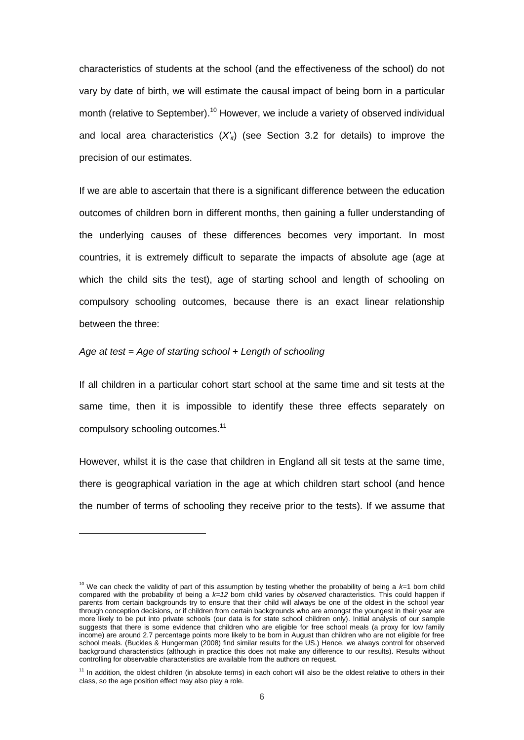characteristics of students at the school (and the effectiveness of the school) do not vary by date of birth, we will estimate the causal impact of being born in a particular month (relative to September).<sup>10</sup> However, we include a variety of observed individual and local area characteristics  $(X<sub>i</sub>)$  (see Section 3.2 for details) to improve the precision of our estimates.

If we are able to ascertain that there is a significant difference between the education outcomes of children born in different months, then gaining a fuller understanding of the underlying causes of these differences becomes very important. In most countries, it is extremely difficult to separate the impacts of absolute age (age at which the child sits the test), age of starting school and length of schooling on compulsory schooling outcomes, because there is an exact linear relationship between the three:

#### *Age at test = Age of starting school + Length of schooling*

 $\overline{a}$ 

If all children in a particular cohort start school at the same time and sit tests at the same time, then it is impossible to identify these three effects separately on compulsory schooling outcomes.<sup>11</sup>

However, whilst it is the case that children in England all sit tests at the same time, there is geographical variation in the age at which children start school (and hence the number of terms of schooling they receive prior to the tests). If we assume that

<sup>&</sup>lt;sup>10</sup> We can check the validity of part of this assumption by testing whether the probability of being a *k*=1 born child compared with the probability of being a *k=12* born child varies by *observed* characteristics. This could happen if parents from certain backgrounds try to ensure that their child will always be one of the oldest in the school year through conception decisions, or if children from certain backgrounds who are amongst the youngest in their year are more likely to be put into private schools (our data is for state school children only). Initial analysis of our sample suggests that there is some evidence that children who are eligible for free school meals (a proxy for low family income) are around 2.7 percentage points more likely to be born in August than children who are not eligible for free school meals. (Buckles & Hungerman (2008) find similar results for the US.) Hence, we always control for observed background characteristics (although in practice this does not make any difference to our results). Results without controlling for observable characteristics are available from the authors on request.

 $11$  In addition, the oldest children (in absolute terms) in each cohort will also be the oldest relative to others in their class, so the age position effect may also play a role.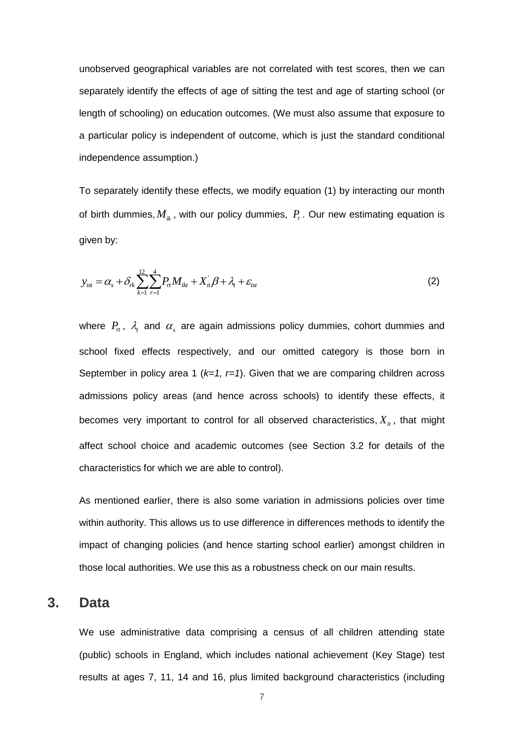unobserved geographical variables are not correlated with test scores, then we can separately identify the effects of age of sitting the test and age of starting school (or length of schooling) on education outcomes. (We must also assume that exposure to a particular policy is independent of outcome, which is just the standard conditional independence assumption.)

To separately identify these effects, we modify equation (1) by interacting our month of birth dummies,  $M_{ik}$ , with our policy dummies,  $P_r$ . Our new estimating equation is given by:

$$
y_{ist} = \alpha_s + \delta_{rk} \sum_{k=1}^{12} \sum_{r=1}^{4} P_{rt} M_{ikt} + X_{it}' \beta + \lambda_t + \varepsilon_{ist}
$$
 (2)

where  $P_n$ ,  $\lambda_i$  and  $\alpha_s$  are again admissions policy dummies, cohort dummies and school fixed effects respectively, and our omitted category is those born in September in policy area 1 (*k=1, r=1*). Given that we are comparing children across admissions policy areas (and hence across schools) to identify these effects, it becomes very important to control for all observed characteristics,  $X_{it}$ , that might affect school choice and academic outcomes (see Section 3.2 for details of the characteristics for which we are able to control).

As mentioned earlier, there is also some variation in admissions policies over time within authority. This allows us to use difference in differences methods to identify the impact of changing policies (and hence starting school earlier) amongst children in those local authorities. We use this as a robustness check on our main results.

### **3. Data**

We use administrative data comprising a census of all children attending state (public) schools in England, which includes national achievement (Key Stage) test results at ages 7, 11, 14 and 16, plus limited background characteristics (including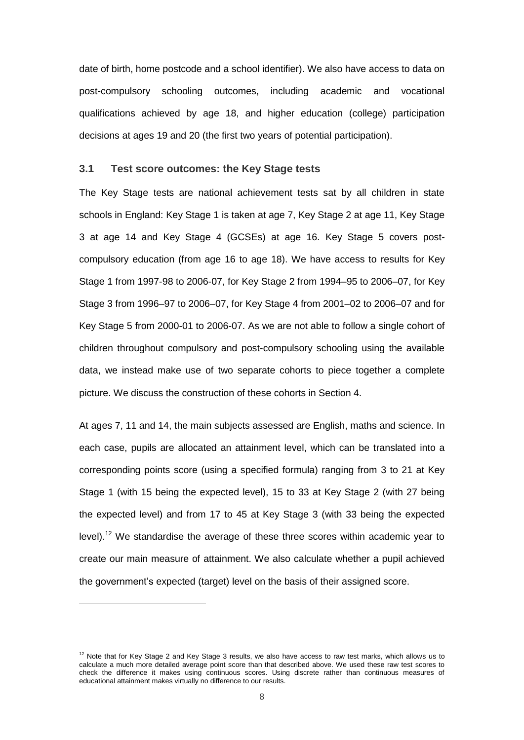date of birth, home postcode and a school identifier). We also have access to data on post-compulsory schooling outcomes, including academic and vocational qualifications achieved by age 18, and higher education (college) participation decisions at ages 19 and 20 (the first two years of potential participation).

#### **3.1 Test score outcomes: the Key Stage tests**

The Key Stage tests are national achievement tests sat by all children in state schools in England: Key Stage 1 is taken at age 7, Key Stage 2 at age 11, Key Stage 3 at age 14 and Key Stage 4 (GCSEs) at age 16. Key Stage 5 covers postcompulsory education (from age 16 to age 18). We have access to results for Key Stage 1 from 1997-98 to 2006-07, for Key Stage 2 from 1994–95 to 2006–07, for Key Stage 3 from 1996–97 to 2006–07, for Key Stage 4 from 2001–02 to 2006–07 and for Key Stage 5 from 2000-01 to 2006-07. As we are not able to follow a single cohort of children throughout compulsory and post-compulsory schooling using the available data, we instead make use of two separate cohorts to piece together a complete picture. We discuss the construction of these cohorts in Section 4.

At ages 7, 11 and 14, the main subjects assessed are English, maths and science. In each case, pupils are allocated an attainment level, which can be translated into a corresponding points score (using a specified formula) ranging from 3 to 21 at Key Stage 1 (with 15 being the expected level), 15 to 33 at Key Stage 2 (with 27 being the expected level) and from 17 to 45 at Key Stage 3 (with 33 being the expected level).<sup>12</sup> We standardise the average of these three scores within academic year to create our main measure of attainment. We also calculate whether a pupil achieved the government"s expected (target) level on the basis of their assigned score.

 $12$  Note that for Key Stage 2 and Key Stage 3 results, we also have access to raw test marks, which allows us to calculate a much more detailed average point score than that described above. We used these raw test scores to check the difference it makes using continuous scores. Using discrete rather than continuous measures of educational attainment makes virtually no difference to our results.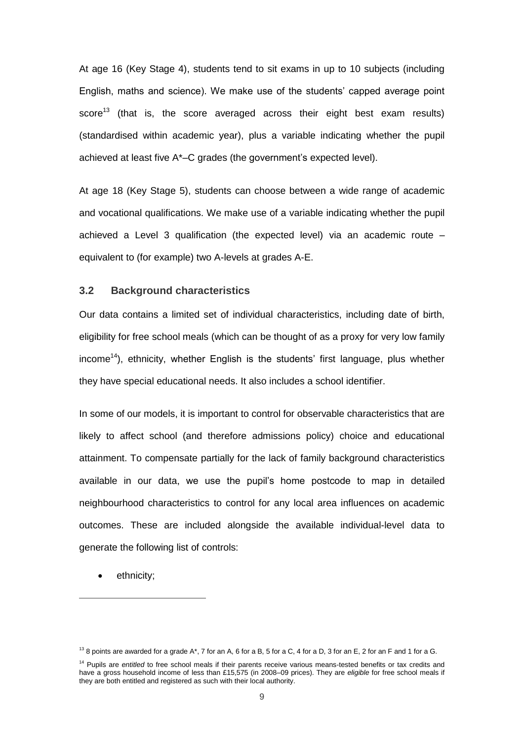At age 16 (Key Stage 4), students tend to sit exams in up to 10 subjects (including English, maths and science). We make use of the students" capped average point score<sup>13</sup> (that is, the score averaged across their eight best exam results) (standardised within academic year), plus a variable indicating whether the pupil achieved at least five A\*–C grades (the government"s expected level).

At age 18 (Key Stage 5), students can choose between a wide range of academic and vocational qualifications. We make use of a variable indicating whether the pupil achieved a Level 3 qualification (the expected level) via an academic route – equivalent to (for example) two A-levels at grades A-E.

#### **3.2 Background characteristics**

Our data contains a limited set of individual characteristics, including date of birth, eligibility for free school meals (which can be thought of as a proxy for very low family income<sup>14</sup>), ethnicity, whether English is the students' first language, plus whether they have special educational needs. It also includes a school identifier.

In some of our models, it is important to control for observable characteristics that are likely to affect school (and therefore admissions policy) choice and educational attainment. To compensate partially for the lack of family background characteristics available in our data, we use the pupil"s home postcode to map in detailed neighbourhood characteristics to control for any local area influences on academic outcomes. These are included alongside the available individual-level data to generate the following list of controls:

ethnicity;

 $13$  8 points are awarded for a grade A\*, 7 for an A, 6 for a B, 5 for a C, 4 for a D, 3 for an E, 2 for an F and 1 for a G.

<sup>&</sup>lt;sup>14</sup> Pupils are *entitled* to free school meals if their parents receive various means-tested benefits or tax credits and have a gross household income of less than £15,575 (in 2008–09 prices). They are *eligible* for free school meals if they are both entitled and registered as such with their local authority.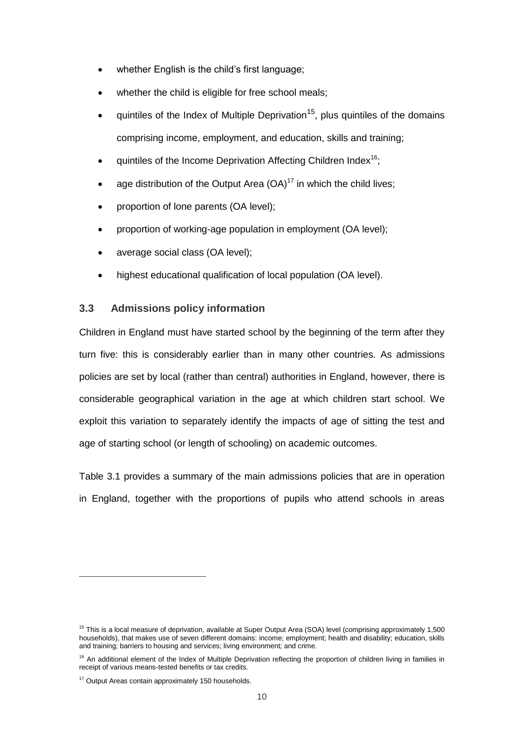- whether English is the child's first language;
- whether the child is eligible for free school meals:
- quintiles of the Index of Multiple Deprivation<sup>15</sup>, plus quintiles of the domains comprising income, employment, and education, skills and training;
- quintiles of the Income Deprivation Affecting Children Index<sup>16</sup>;
- age distribution of the Output Area  $(OA)^{17}$  in which the child lives;
- proportion of lone parents (OA level);
- proportion of working-age population in employment (OA level);
- average social class (OA level);
- highest educational qualification of local population (OA level).

#### **3.3 Admissions policy information**

Children in England must have started school by the beginning of the term after they turn five: this is considerably earlier than in many other countries. As admissions policies are set by local (rather than central) authorities in England, however, there is considerable geographical variation in the age at which children start school. We exploit this variation to separately identify the impacts of age of sitting the test and age of starting school (or length of schooling) on academic outcomes.

Table 3.1 provides a summary of the main admissions policies that are in operation in England, together with the proportions of pupils who attend schools in areas

<sup>&</sup>lt;sup>15</sup> This is a local measure of deprivation, available at Super Output Area (SOA) level (comprising approximately 1,500 households), that makes use of seven different domains: income; employment; health and disability; education, skills and training; barriers to housing and services; living environment; and crime.

 $16$  An additional element of the Index of Multiple Deprivation reflecting the proportion of children living in families in receipt of various means-tested benefits or tax credits.

<sup>&</sup>lt;sup>17</sup> Output Areas contain approximately 150 households.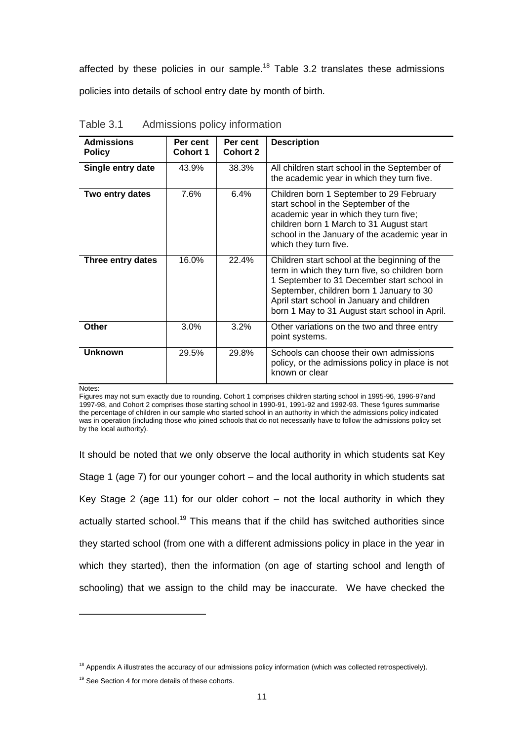affected by these policies in our sample.<sup>18</sup> Table 3.2 translates these admissions policies into details of school entry date by month of birth.

| <b>Admissions</b><br><b>Policy</b> | Per cent<br><b>Cohort 1</b> | Per cent<br>Cohort 2 | <b>Description</b>                                                                                                                                                                                                                                                                        |
|------------------------------------|-----------------------------|----------------------|-------------------------------------------------------------------------------------------------------------------------------------------------------------------------------------------------------------------------------------------------------------------------------------------|
| Single entry date                  | 43.9%                       | 38.3%                | All children start school in the September of<br>the academic year in which they turn five.                                                                                                                                                                                               |
| Two entry dates                    | 7.6%                        | 6.4%                 | Children born 1 September to 29 February<br>start school in the September of the<br>academic year in which they turn five;<br>children born 1 March to 31 August start<br>school in the January of the academic year in<br>which they turn five.                                          |
| Three entry dates                  | 16.0%                       | 22.4%                | Children start school at the beginning of the<br>term in which they turn five, so children born<br>1 September to 31 December start school in<br>September, children born 1 January to 30<br>April start school in January and children<br>born 1 May to 31 August start school in April. |
| Other                              | 3.0%                        | 3.2%                 | Other variations on the two and three entry<br>point systems.                                                                                                                                                                                                                             |
| <b>Unknown</b>                     | 29.5%                       | 29.8%                | Schools can choose their own admissions<br>policy, or the admissions policy in place is not<br>known or clear                                                                                                                                                                             |

Table 3.1 Admissions policy information

Notes:

-

Figures may not sum exactly due to rounding. Cohort 1 comprises children starting school in 1995-96, 1996-97and 1997-98, and Cohort 2 comprises those starting school in 1990-91, 1991-92 and 1992-93. These figures summarise the percentage of children in our sample who started school in an authority in which the admissions policy indicated was in operation (including those who joined schools that do not necessarily have to follow the admissions policy set by the local authority).

It should be noted that we only observe the local authority in which students sat Key Stage 1 (age 7) for our younger cohort – and the local authority in which students sat Key Stage 2 (age 11) for our older cohort  $-$  not the local authority in which they actually started school.<sup>19</sup> This means that if the child has switched authorities since they started school (from one with a different admissions policy in place in the year in which they started), then the information (on age of starting school and length of schooling) that we assign to the child may be inaccurate. We have checked the

<sup>&</sup>lt;sup>18</sup> Appendix A illustrates the accuracy of our admissions policy information (which was collected retrospectively).

<sup>&</sup>lt;sup>19</sup> See Section 4 for more details of these cohorts.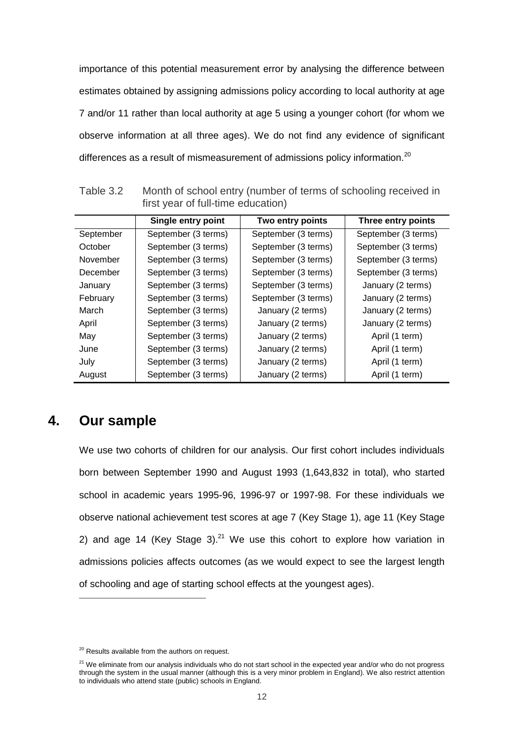importance of this potential measurement error by analysing the difference between estimates obtained by assigning admissions policy according to local authority at age 7 and/or 11 rather than local authority at age 5 using a younger cohort (for whom we observe information at all three ages). We do not find any evidence of significant differences as a result of mismeasurement of admissions policy information.<sup>20</sup>

|           | Single entry point  | Two entry points    | Three entry points  |
|-----------|---------------------|---------------------|---------------------|
| September | September (3 terms) | September (3 terms) | September (3 terms) |
| October   | September (3 terms) | September (3 terms) | September (3 terms) |
| November  | September (3 terms) | September (3 terms) | September (3 terms) |
| December  | September (3 terms) | September (3 terms) | September (3 terms) |
| January   | September (3 terms) | September (3 terms) | January (2 terms)   |
| February  | September (3 terms) | September (3 terms) | January (2 terms)   |
| March     | September (3 terms) | January (2 terms)   | January (2 terms)   |
| April     | September (3 terms) | January (2 terms)   | January (2 terms)   |
| May       | September (3 terms) | January (2 terms)   | April (1 term)      |
| June      | September (3 terms) | January (2 terms)   | April (1 term)      |
| July      | September (3 terms) | January (2 terms)   | April (1 term)      |
| August    | September (3 terms) | January (2 terms)   | April (1 term)      |
|           |                     |                     |                     |

Table 3.2 Month of school entry (number of terms of schooling received in first year of full-time education)

# **4. Our sample**

-

We use two cohorts of children for our analysis. Our first cohort includes individuals born between September 1990 and August 1993 (1,643,832 in total), who started school in academic years 1995-96, 1996-97 or 1997-98. For these individuals we observe national achievement test scores at age 7 (Key Stage 1), age 11 (Key Stage 2) and age 14 (Key Stage 3). $^{21}$  We use this cohort to explore how variation in admissions policies affects outcomes (as we would expect to see the largest length of schooling and age of starting school effects at the youngest ages).

<sup>&</sup>lt;sup>20</sup> Results available from the authors on request.

 $21$  We eliminate from our analysis individuals who do not start school in the expected year and/or who do not progress through the system in the usual manner (although this is a very minor problem in England). We also restrict attention to individuals who attend state (public) schools in England.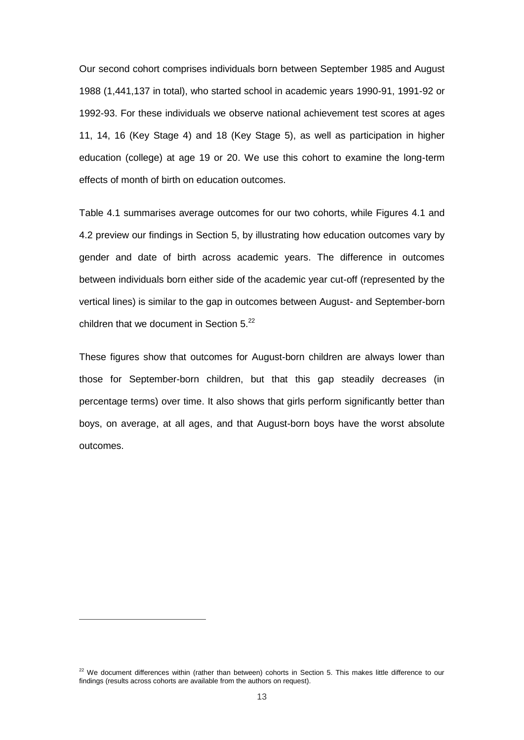Our second cohort comprises individuals born between September 1985 and August 1988 (1,441,137 in total), who started school in academic years 1990-91, 1991-92 or 1992-93. For these individuals we observe national achievement test scores at ages 11, 14, 16 (Key Stage 4) and 18 (Key Stage 5), as well as participation in higher education (college) at age 19 or 20. We use this cohort to examine the long-term effects of month of birth on education outcomes.

Table 4.1 summarises average outcomes for our two cohorts, while Figures 4.1 and 4.2 preview our findings in Section 5, by illustrating how education outcomes vary by gender and date of birth across academic years. The difference in outcomes between individuals born either side of the academic year cut-off (represented by the vertical lines) is similar to the gap in outcomes between August- and September-born children that we document in Section  $5.^{22}$ 

These figures show that outcomes for August-born children are always lower than those for September-born children, but that this gap steadily decreases (in percentage terms) over time. It also shows that girls perform significantly better than boys, on average, at all ages, and that August-born boys have the worst absolute outcomes.

<sup>&</sup>lt;sup>22</sup> We document differences within (rather than between) cohorts in Section 5. This makes little difference to our findings (results across cohorts are available from the authors on request).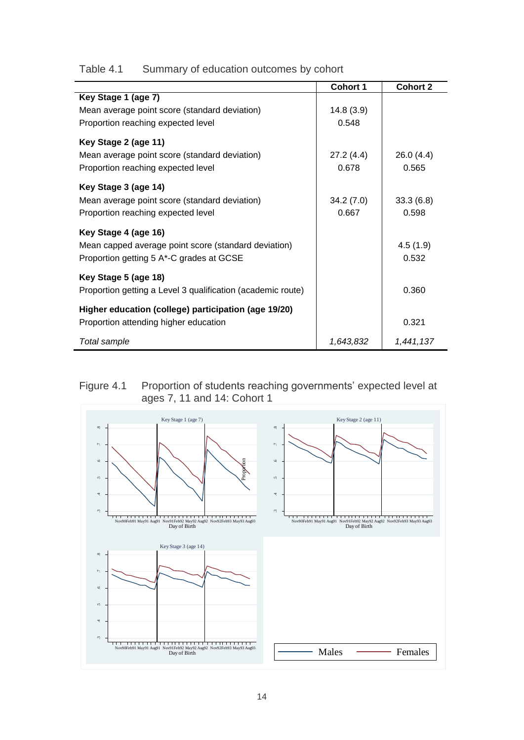| Table 4.1 | Summary of education outcomes by cohort |  |
|-----------|-----------------------------------------|--|
|           |                                         |  |

|                                                             | <b>Cohort 1</b> | <b>Cohort 2</b> |
|-------------------------------------------------------------|-----------------|-----------------|
| Key Stage 1 (age 7)                                         |                 |                 |
| Mean average point score (standard deviation)               | 14.8(3.9)       |                 |
| Proportion reaching expected level                          | 0.548           |                 |
| Key Stage 2 (age 11)                                        |                 |                 |
| Mean average point score (standard deviation)               | 27.2(4.4)       | 26.0(4.4)       |
| Proportion reaching expected level                          | 0.678           | 0.565           |
|                                                             |                 |                 |
| Key Stage 3 (age 14)                                        |                 |                 |
| Mean average point score (standard deviation)               | 34.2(7.0)       | 33.3(6.8)       |
| Proportion reaching expected level                          | 0.667           | 0.598           |
| Key Stage 4 (age 16)                                        |                 |                 |
| Mean capped average point score (standard deviation)        |                 | 4.5(1.9)        |
| Proportion getting 5 A*-C grades at GCSE                    |                 | 0.532           |
|                                                             |                 |                 |
| Key Stage 5 (age 18)                                        |                 |                 |
| Proportion getting a Level 3 qualification (academic route) |                 | 0.360           |
| Higher education (college) participation (age 19/20)        |                 |                 |
| Proportion attending higher education                       |                 | 0.321           |
|                                                             |                 |                 |
| Total sample                                                | 1,643,832       | 1,441,137       |

#### Figure 4.1 Proportion of students reaching governments' expected level at ages 7, 11 and 14: Cohort 1

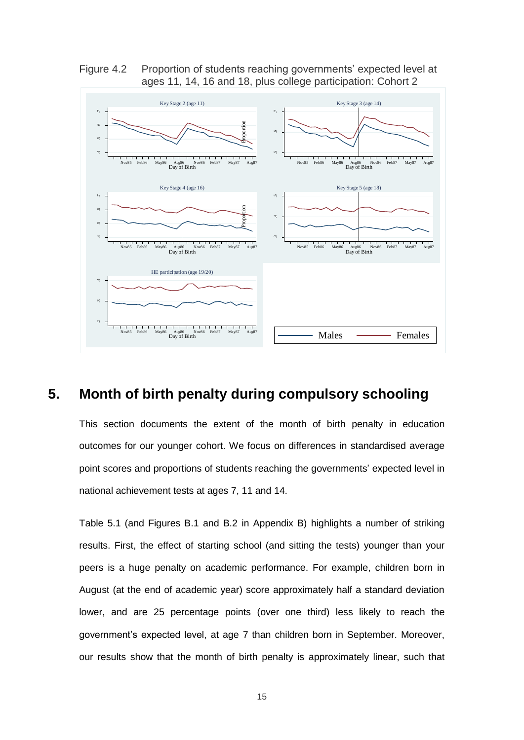Figure 4.2 Proportion of students reaching governments' expected level at ages 11, 14, 16 and 18, plus college participation: Cohort 2



## **5. Month of birth penalty during compulsory schooling**

This section documents the extent of the month of birth penalty in education outcomes for our younger cohort. We focus on differences in standardised average point scores and proportions of students reaching the governments' expected level in national achievement tests at ages 7, 11 and 14.

Table 5.1 (and Figures B.1 and B.2 in Appendix B) highlights a number of striking results. First, the effect of starting school (and sitting the tests) younger than your peers is a huge penalty on academic performance. For example, children born in August (at the end of academic year) score approximately half a standard deviation lower, and are 25 percentage points (over one third) less likely to reach the government's expected level, at age 7 than children born in September. Moreover,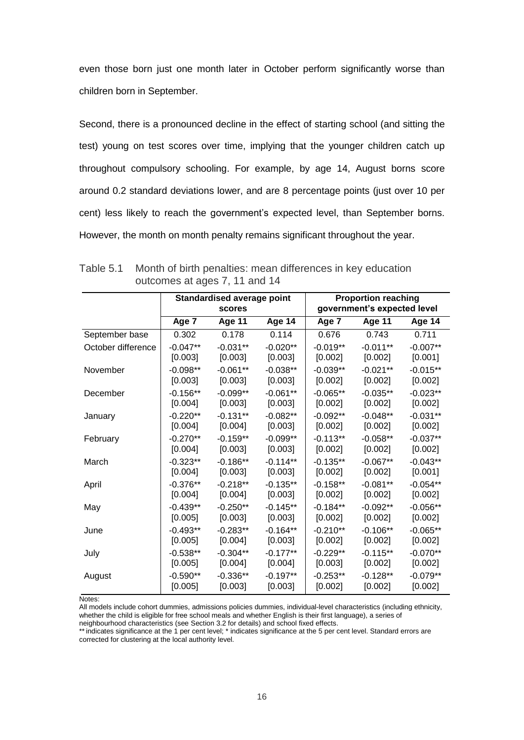even those born just one month later in October perform significantly worse than children born in September.

Second, there is a pronounced decline in the effect of starting school (and sitting the test) young on test scores over time, implying that the younger children catch up throughout compulsory schooling. For example, by age 14, August borns score around 0.2 standard deviations lower, and are 8 percentage points (just over 10 per cent) less likely to reach the government"s expected level, than September borns. However, the month on month penalty remains significant throughout the year.

|                    | <b>Standardised average point</b><br><b>scores</b> |               |               |            | <b>Proportion reaching</b><br>government's expected level |               |  |
|--------------------|----------------------------------------------------|---------------|---------------|------------|-----------------------------------------------------------|---------------|--|
|                    | Age 7                                              | <b>Age 11</b> | <b>Age 14</b> | Age 7      | <b>Age 11</b>                                             | <b>Age 14</b> |  |
| September base     | 0.302                                              | 0.178         | 0.114         | 0.676      | 0.743                                                     | 0.711         |  |
| October difference | $-0.047**$                                         | $-0.031**$    | $-0.020**$    | $-0.019**$ | $-0.011**$                                                | $-0.007**$    |  |
|                    | [0.003]                                            | [0.003]       | [0.003]       | [0.002]    | [0.002]                                                   | [0.001]       |  |
| November           | $-0.098**$                                         | $-0.061**$    | $-0.038**$    | $-0.039**$ | $-0.021**$                                                | $-0.015**$    |  |
|                    | [0.003]                                            | [0.003]       | [0.003]       | [0.002]    | [0.002]                                                   | [0.002]       |  |
| December           | $-0.156**$                                         | $-0.099**$    | $-0.061**$    | $-0.065**$ | $-0.035**$                                                | $-0.023**$    |  |
|                    | [0.004]                                            | [0.003]       | [0.003]       | [0.002]    | [0.002]                                                   | [0.002]       |  |
| January            | $-0.220**$                                         | $-0.131**$    | $-0.082**$    | $-0.092**$ | $-0.048**$                                                | $-0.031**$    |  |
|                    | [0.004]                                            | $[0.004]$     | [0.003]       | [0.002]    | [0.002]                                                   | [0.002]       |  |
| February           | $-0.270**$                                         | $-0.159**$    | $-0.099**$    | $-0.113**$ | $-0.058**$                                                | $-0.037**$    |  |
|                    | [0.004]                                            | [0.003]       | [0.003]       | [0.002]    | [0.002]                                                   | [0.002]       |  |
| March              | $-0.323**$                                         | $-0.186**$    | $-0.114**$    | $-0.135**$ | $-0.067**$                                                | $-0.043**$    |  |
|                    | $[0.004]$                                          | [0.003]       | [0.003]       | [0.002]    | [0.002]                                                   | [0.001]       |  |
| April              | $-0.376**$                                         | $-0.218**$    | $-0.135**$    | $-0.158**$ | $-0.081**$                                                | $-0.054**$    |  |
|                    | $[0.004]$                                          | $[0.004]$     | [0.003]       | [0.002]    | [0.002]                                                   | [0.002]       |  |
| May                | $-0.439**$                                         | $-0.250**$    | $-0.145**$    | $-0.184**$ | $-0.092**$                                                | $-0.056**$    |  |
|                    | [0.005]                                            | [0.003]       | [0.003]       | [0.002]    | [0.002]                                                   | [0.002]       |  |
| June               | $-0.493**$                                         | $-0.283**$    | $-0.164**$    | $-0.210**$ | $-0.106**$                                                | $-0.065**$    |  |
|                    | [0.005]                                            | $[0.004]$     | [0.003]       | [0.002]    | [0.002]                                                   | [0.002]       |  |
| July               | $-0.538**$                                         | $-0.304**$    | $-0.177**$    | $-0.229**$ | $-0.115**$                                                | $-0.070**$    |  |
|                    | [0.005]                                            | [0.004]       | [0.004]       | [0.003]    | [0.002]                                                   | [0.002]       |  |
| August             | $-0.590**$                                         | $-0.336**$    | $-0.197**$    | $-0.253**$ | $-0.128**$                                                | $-0.079**$    |  |
|                    | [0.005]                                            | [0.003]       | [0.003]       | [0.002]    | [0.002]                                                   | [0.002]       |  |

Table 5.1 Month of birth penalties: mean differences in key education outcomes at ages 7, 11 and 14

Notes:

All models include cohort dummies, admissions policies dummies, individual-level characteristics (including ethnicity, whether the child is eligible for free school meals and whether English is their first language), a series of

neighbourhood characteristics (see Section 3.2 for details) and school fixed effects.

\*\*indicates significance at the 1 per cent level; \* indicates significance at the 5 per cent level. Standard errors are corrected for clustering at the local authority level.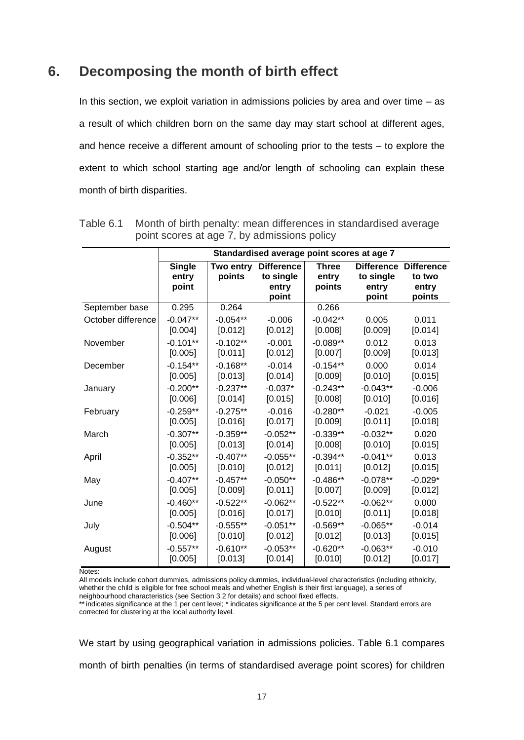### **6. Decomposing the month of birth effect**

In this section, we exploit variation in admissions policies by area and over time – as a result of which children born on the same day may start school at different ages, and hence receive a different amount of schooling prior to the tests – to explore the extent to which school starting age and/or length of schooling can explain these month of birth disparities.

|                    | Standardised average point scores at age 7 |            |                   |              |                   |                   |
|--------------------|--------------------------------------------|------------|-------------------|--------------|-------------------|-------------------|
|                    | <b>Single</b>                              | Two entry  | <b>Difference</b> | <b>Three</b> | <b>Difference</b> | <b>Difference</b> |
|                    | entry                                      | points     | to single         | entry        | to single         | to two            |
|                    | point                                      |            | entry             | points       | entry             | entry             |
| September base     | 0.295                                      | 0.264      | point             | 0.266        | point             | points            |
| October difference | $-0.047**$                                 | $-0.054**$ | $-0.006$          | $-0.042**$   | 0.005             | 0.011             |
|                    | [0.004]                                    | [0.012]    | [0.012]           | [0.008]      | [0.009]           | [0.014]           |
| November           | $-0.101**$                                 | $-0.102**$ | $-0.001$          | $-0.089**$   | 0.012             | 0.013             |
|                    | [0.005]                                    | [0.011]    | [0.012]           | [0.007]      | [0.009]           | [0.013]           |
| December           | $-0.154**$                                 | $-0.168**$ | $-0.014$          | $-0.154**$   | 0.000             | 0.014             |
|                    | [0.005]                                    | [0.013]    | [0.014]           | [0.009]      | [0.010]           | [0.015]           |
| January            | $-0.200**$                                 | $-0.237**$ | $-0.037*$         | $-0.243**$   | $-0.043**$        | $-0.006$          |
|                    | [0.006]                                    | [0.014]    | [0.015]           | [0.008]      | [0.010]           | [0.016]           |
| February           | $-0.259**$                                 | $-0.275**$ | $-0.016$          | $-0.280**$   | $-0.021$          | $-0.005$          |
|                    | [0.005]                                    | [0.016]    | [0.017]           | [0.009]      | [0.011]           | [0.018]           |
| March              | $-0.307**$                                 | $-0.359**$ | $-0.052**$        | $-0.339**$   | $-0.032**$        | 0.020             |
|                    | [0.005]                                    | [0.013]    | [0.014]           | [0.008]      | [0.010]           | [0.015]           |
| April              | $-0.352**$                                 | $-0.407**$ | $-0.055**$        | $-0.394**$   | $-0.041**$        | 0.013             |
|                    | [0.005]                                    | [0.010]    | [0.012]           | [0.011]      | [0.012]           | [0.015]           |
| May                | $-0.407**$                                 | $-0.457**$ | $-0.050**$        | $-0.486**$   | $-0.078**$        | $-0.029*$         |
|                    | [0.005]                                    | [0.009]    | [0.011]           | [0.007]      | [0.009]           | [0.012]           |
| June               | $-0.460**$                                 | $-0.522**$ | $-0.062**$        | $-0.522**$   | $-0.062**$        | 0.000             |
|                    | [0.005]                                    | [0.016]    | [0.017]           | [0.010]      | [0.011]           | [0.018]           |
| July               | $-0.504**$                                 | $-0.555**$ | $-0.051**$        | $-0.569**$   | $-0.065**$        | $-0.014$          |
|                    | [0.006]                                    | [0.010]    | [0.012]           | [0.012]      | [0.013]           | [0.015]           |
| August             | $-0.557**$                                 | $-0.610**$ | $-0.053**$        | $-0.620**$   | $-0.063**$        | $-0.010$          |
|                    | [0.005]                                    | [0.013]    | [0.014]           | [0.010]      | [0.012]           | [0.017]           |

Table 6.1 Month of birth penalty: mean differences in standardised average point scores at age 7, by admissions policy

Notes:

All models include cohort dummies, admissions policy dummies, individual-level characteristics (including ethnicity, whether the child is eligible for free school meals and whether English is their first language), a series of neighbourhood characteristics (see Section 3.2 for details) and school fixed effects.

\*\*indicates significance at the 1 per cent level; \* indicates significance at the 5 per cent level. Standard errors are corrected for clustering at the local authority level.

We start by using geographical variation in admissions policies. Table 6.1 compares month of birth penalties (in terms of standardised average point scores) for children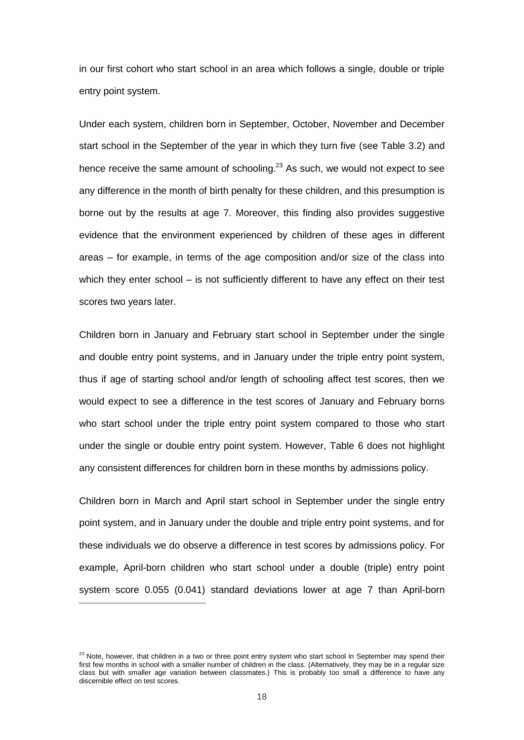in our first cohort who start school in an area which follows a single, double or triple entry point system.

Under each system, children born in September, October, November and December start school in the September of the year in which they turn five (see Table 3.2) and hence receive the same amount of schooling.<sup>23</sup> As such, we would not expect to see any difference in the month of birth penalty for these children, and this presumption is borne out by the results at age 7. Moreover, this finding also provides suggestive evidence that the environment experienced by children of these ages in different areas – for example, in terms of the age composition and/or size of the class into which they enter school – is not sufficiently different to have any effect on their test scores two years later.

Children born in January and February start school in September under the single and double entry point systems, and in January under the triple entry point system, thus if age of starting school and/or length of schooling affect test scores, then we would expect to see a difference in the test scores of January and February borns who start school under the triple entry point system compared to those who start under the single or double entry point system. However, Table 6 does not highlight any consistent differences for children born in these months by admissions policy.

Children born in March and April start school in September under the single entry point system, and in January under the double and triple entry point systems, and for these individuals we do observe a difference in test scores by admissions policy. For example, April-born children who start school under a double (triple) entry point system score 0.055 (0.041) standard deviations lower at age 7 than April-born

 $23$  Note, however, that children in a two or three point entry system who start school in September may spend their first few months in school with a smaller number of children in the class. (Alternatively, they may be in a regular size class but with smaller age variation between classmates.) This is probably too small a difference to have any discernible effect on test scores.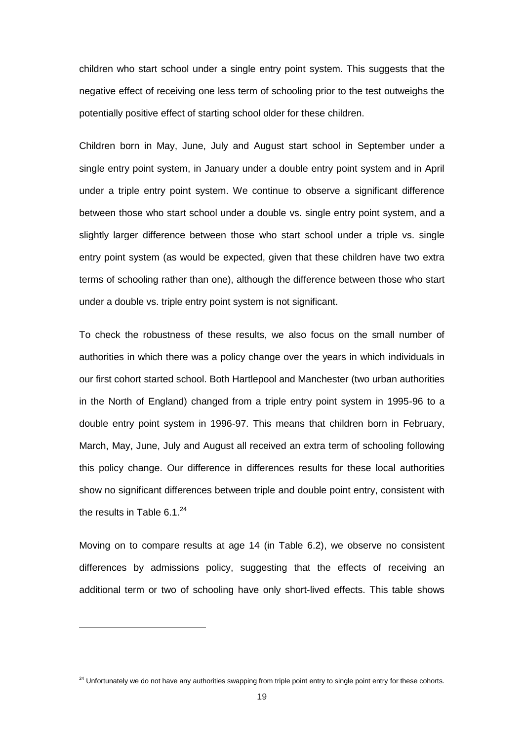children who start school under a single entry point system. This suggests that the negative effect of receiving one less term of schooling prior to the test outweighs the potentially positive effect of starting school older for these children.

Children born in May, June, July and August start school in September under a single entry point system, in January under a double entry point system and in April under a triple entry point system. We continue to observe a significant difference between those who start school under a double vs. single entry point system, and a slightly larger difference between those who start school under a triple vs. single entry point system (as would be expected, given that these children have two extra terms of schooling rather than one), although the difference between those who start under a double vs. triple entry point system is not significant.

To check the robustness of these results, we also focus on the small number of authorities in which there was a policy change over the years in which individuals in our first cohort started school. Both Hartlepool and Manchester (two urban authorities in the North of England) changed from a triple entry point system in 1995-96 to a double entry point system in 1996-97. This means that children born in February, March, May, June, July and August all received an extra term of schooling following this policy change. Our difference in differences results for these local authorities show no significant differences between triple and double point entry, consistent with the results in Table  $6.1.^{24}$ 

Moving on to compare results at age 14 (in Table 6.2), we observe no consistent differences by admissions policy, suggesting that the effects of receiving an additional term or two of schooling have only short-lived effects. This table shows

 $\overline{a}$ 

<sup>&</sup>lt;sup>24</sup> Unfortunately we do not have any authorities swapping from triple point entry to single point entry for these cohorts.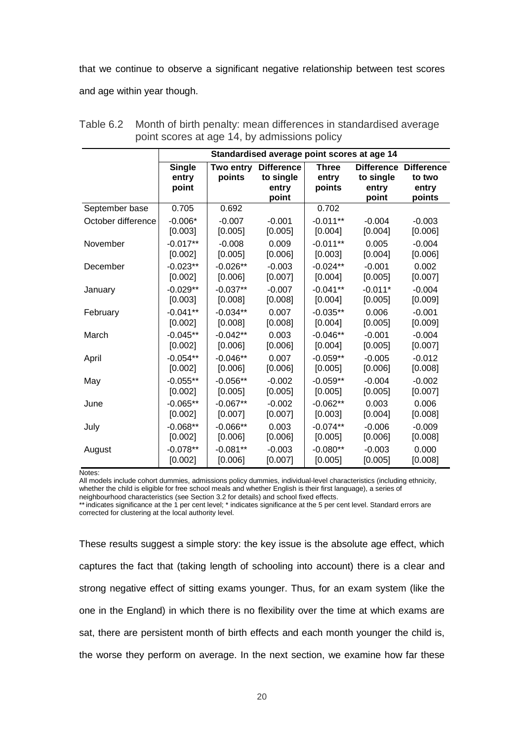that we continue to observe a significant negative relationship between test scores and age within year though.

|                    | Standardised average point scores at age 14 |                     |                                                  |                                 |                                                  |                                                |
|--------------------|---------------------------------------------|---------------------|--------------------------------------------------|---------------------------------|--------------------------------------------------|------------------------------------------------|
|                    | <b>Single</b><br>entry<br>point             | Two entry<br>points | <b>Difference</b><br>to single<br>entry<br>point | <b>Three</b><br>entry<br>points | <b>Difference</b><br>to single<br>entry<br>point | <b>Difference</b><br>to two<br>entry<br>points |
| September base     | 0.705                                       | 0.692               |                                                  | 0.702                           |                                                  |                                                |
| October difference | $-0.006*$                                   | $-0.007$            | $-0.001$                                         | $-0.011**$                      | $-0.004$                                         | $-0.003$                                       |
|                    | [0.003]                                     | [0.005]             | [0.005]                                          | [0.004]                         | [0.004]                                          | [0.006]                                        |
| November           | $-0.017**$                                  | $-0.008$            | 0.009                                            | $-0.011**$                      | 0.005                                            | $-0.004$                                       |
|                    | [0.002]                                     | [0.005]             | [0.006]                                          | [0.003]                         | [0.004]                                          | [0.006]                                        |
| December           | $-0.023**$                                  | $-0.026**$          | $-0.003$                                         | $-0.024**$                      | $-0.001$                                         | 0.002                                          |
|                    | [0.002]                                     | [0.006]             | [0.007]                                          | [0.004]                         | [0.005]                                          | [0.007]                                        |
| January            | $-0.029**$                                  | $-0.037**$          | $-0.007$                                         | $-0.041**$                      | $-0.011*$                                        | $-0.004$                                       |
|                    | [0.003]                                     | [0.008]             | [0.008]                                          | [0.004]                         | [0.005]                                          | [0.009]                                        |
| February           | $-0.041**$                                  | $-0.034**$          | 0.007                                            | $-0.035**$                      | 0.006                                            | $-0.001$                                       |
|                    | [0.002]                                     | [0.008]             | [0.008]                                          | [0.004]                         | [0.005]                                          | [0.009]                                        |
| March              | $-0.045**$                                  | $-0.042**$          | 0.003                                            | $-0.046**$                      | $-0.001$                                         | $-0.004$                                       |
|                    | [0.002]                                     | [0.006]             | [0.006]                                          | [0.004]                         | [0.005]                                          | [0.007]                                        |
| April              | $-0.054**$                                  | $-0.046**$          | 0.007                                            | $-0.059**$                      | $-0.005$                                         | $-0.012$                                       |
|                    | [0.002]                                     | [0.006]             | [0.006]                                          | [0.005]                         | [0.006]                                          | [0.008]                                        |
| May                | $-0.055**$                                  | $-0.056**$          | $-0.002$                                         | $-0.059**$                      | $-0.004$                                         | $-0.002$                                       |
|                    | [0.002]                                     | [0.005]             | [0.005]                                          | [0.005]                         | [0.005]                                          | [0.007]                                        |
| June               | $-0.065**$                                  | $-0.067**$          | $-0.002$                                         | $-0.062**$                      | 0.003                                            | 0.006                                          |
|                    | [0.002]                                     | [0.007]             | [0.007]                                          | [0.003]                         | [0.004]                                          | [0.008]                                        |
| July               | $-0.068**$                                  | $-0.066**$          | 0.003                                            | $-0.074**$                      | $-0.006$                                         | $-0.009$                                       |
|                    | [0.002]                                     | [0.006]             | [0.006]                                          | [0.005]                         | [0.006]                                          | [0.008]                                        |
| August             | $-0.078**$                                  | $-0.081**$          | $-0.003$                                         | $-0.080**$                      | $-0.003$                                         | 0.000                                          |
|                    | [0.002]                                     | [0.006]             | [0.007]                                          | [0.005]                         | [0.005]                                          | [0.008]                                        |

Table 6.2 Month of birth penalty: mean differences in standardised average point scores at age 14, by admissions policy

Notes:

All models include cohort dummies, admissions policy dummies, individual-level characteristics (including ethnicity, whether the child is eligible for free school meals and whether English is their first language), a series of neighbourhood characteristics (see Section 3.2 for details) and school fixed effects.

\*\*indicates significance at the 1 per cent level; \* indicates significance at the 5 per cent level. Standard errors are corrected for clustering at the local authority level.

These results suggest a simple story: the key issue is the absolute age effect, which captures the fact that (taking length of schooling into account) there is a clear and strong negative effect of sitting exams younger. Thus, for an exam system (like the one in the England) in which there is no flexibility over the time at which exams are sat, there are persistent month of birth effects and each month younger the child is, the worse they perform on average. In the next section, we examine how far these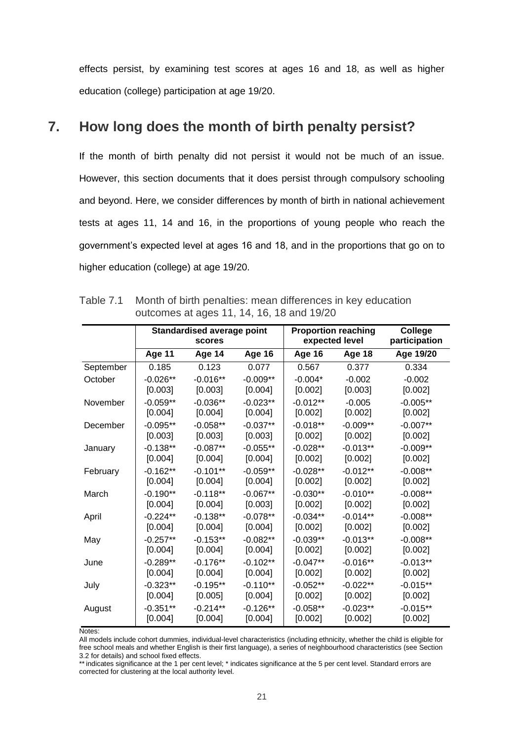effects persist, by examining test scores at ages 16 and 18, as well as higher education (college) participation at age 19/20.

# **7. How long does the month of birth penalty persist?**

If the month of birth penalty did not persist it would not be much of an issue. However, this section documents that it does persist through compulsory schooling and beyond. Here, we consider differences by month of birth in national achievement tests at ages 11, 14 and 16, in the proportions of young people who reach the government"s expected level at ages 16 and 18, and in the proportions that go on to higher education (college) at age 19/20.

|           | <b>Standardised average point</b><br><b>scores</b> |            |               |               | <b>Proportion reaching</b><br>expected level | <b>College</b><br>participation |
|-----------|----------------------------------------------------|------------|---------------|---------------|----------------------------------------------|---------------------------------|
|           | <b>Age 11</b>                                      | Age 14     | <b>Age 16</b> | <b>Age 16</b> | <b>Age 18</b>                                | Age 19/20                       |
| September | 0.185                                              | 0.123      | 0.077         | 0.567         | 0.377                                        | 0.334                           |
| October   | $-0.026**$                                         | $-0.016**$ | $-0.009**$    | $-0.004*$     | $-0.002$                                     | $-0.002$                        |
|           | [0.003]                                            | [0.003]    | [0.004]       | [0.002]       | [0.003]                                      | [0.002]                         |
| November  | $-0.059**$                                         | $-0.036**$ | $-0.023**$    | $-0.012**$    | $-0.005$                                     | $-0.005**$                      |
|           | [0.004]                                            | [0.004]    | [0.004]       | [0.002]       | [0.002]                                      | [0.002]                         |
| December  | $-0.095**$                                         | $-0.058**$ | $-0.037**$    | $-0.018**$    | $-0.009**$                                   | $-0.007**$                      |
|           | [0.003]                                            | [0.003]    | [0.003]       | [0.002]       | [0.002]                                      | [0.002]                         |
| January   | $-0.138**$                                         | $-0.087**$ | $-0.055**$    | $-0.028**$    | $-0.013**$                                   | $-0.009**$                      |
|           | [0.004]                                            | [0.004]    | [0.004]       | [0.002]       | [0.002]                                      | [0.002]                         |
| February  | $-0.162**$                                         | $-0.101**$ | $-0.059**$    | $-0.028**$    | $-0.012**$                                   | $-0.008**$                      |
|           | [0.004]                                            | [0.004]    | [0.004]       | [0.002]       | [0.002]                                      | [0.002]                         |
| March     | $-0.190**$                                         | $-0.118**$ | $-0.067**$    | $-0.030**$    | $-0.010**$                                   | $-0.008**$                      |
|           | [0.004]                                            | [0.004]    | [0.003]       | [0.002]       | [0.002]                                      | [0.002]                         |
| April     | $-0.224**$                                         | $-0.138**$ | $-0.078**$    | $-0.034**$    | $-0.014**$                                   | $-0.008**$                      |
|           | [0.004]                                            | [0.004]    | [0.004]       | [0.002]       | [0.002]                                      | [0.002]                         |
| May       | $-0.257**$                                         | $-0.153**$ | $-0.082**$    | $-0.039**$    | $-0.013**$                                   | $-0.008**$                      |
|           | [0.004]                                            | [0.004]    | [0.004]       | [0.002]       | [0.002]                                      | [0.002]                         |
| June      | $-0.289**$                                         | $-0.176**$ | $-0.102**$    | $-0.047**$    | $-0.016**$                                   | $-0.013**$                      |
|           | [0.004]                                            | [0.004]    | [0.004]       | [0.002]       | [0.002]                                      | [0.002]                         |
| July      | $-0.323**$                                         | $-0.195**$ | $-0.110**$    | $-0.052**$    | $-0.022**$                                   | $-0.015**$                      |
|           | [0.004]                                            | [0.005]    | [0.004]       | [0.002]       | [0.002]                                      | [0.002]                         |
| August    | $-0.351**$                                         | $-0.214**$ | $-0.126**$    | $-0.058**$    | $-0.023**$                                   | $-0.015**$                      |
|           | [0.004]                                            | [0.004]    | [0.004]       | [0.002]       | [0.002]                                      | [0.002]                         |

Table 7.1 Month of birth penalties: mean differences in key education outcomes at ages 11, 14, 16, 18 and 19/20

Notes:

All models include cohort dummies, individual-level characteristics (including ethnicity, whether the child is eligible for free school meals and whether English is their first language), a series of neighbourhood characteristics (see Section 3.2 for details) and school fixed effects.

\*\* indicates significance at the 1 per cent level; \* indicates significance at the 5 per cent level. Standard errors are corrected for clustering at the local authority level.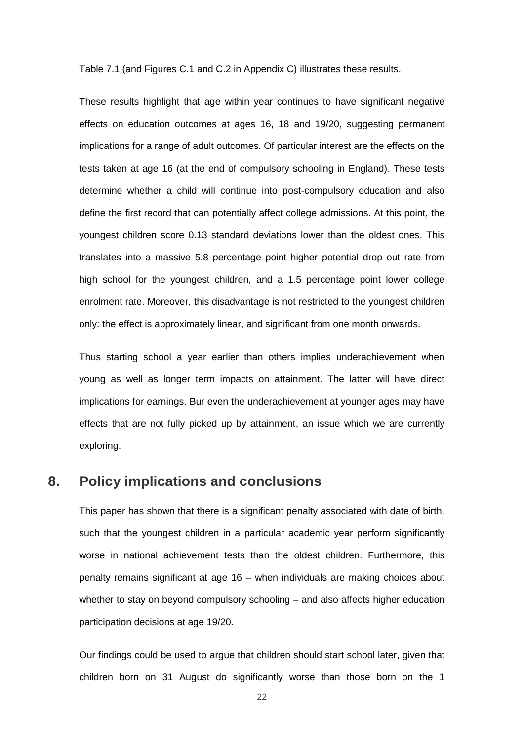Table 7.1 (and Figures C.1 and C.2 in Appendix C) illustrates these results.

These results highlight that age within year continues to have significant negative effects on education outcomes at ages 16, 18 and 19/20, suggesting permanent implications for a range of adult outcomes. Of particular interest are the effects on the tests taken at age 16 (at the end of compulsory schooling in England). These tests determine whether a child will continue into post-compulsory education and also define the first record that can potentially affect college admissions. At this point, the youngest children score 0.13 standard deviations lower than the oldest ones. This translates into a massive 5.8 percentage point higher potential drop out rate from high school for the youngest children, and a 1.5 percentage point lower college enrolment rate. Moreover, this disadvantage is not restricted to the youngest children only: the effect is approximately linear, and significant from one month onwards.

Thus starting school a year earlier than others implies underachievement when young as well as longer term impacts on attainment. The latter will have direct implications for earnings. Bur even the underachievement at younger ages may have effects that are not fully picked up by attainment, an issue which we are currently exploring.

### **8. Policy implications and conclusions**

This paper has shown that there is a significant penalty associated with date of birth, such that the youngest children in a particular academic year perform significantly worse in national achievement tests than the oldest children. Furthermore, this penalty remains significant at age 16 – when individuals are making choices about whether to stay on beyond compulsory schooling – and also affects higher education participation decisions at age 19/20.

Our findings could be used to argue that children should start school later, given that children born on 31 August do significantly worse than those born on the 1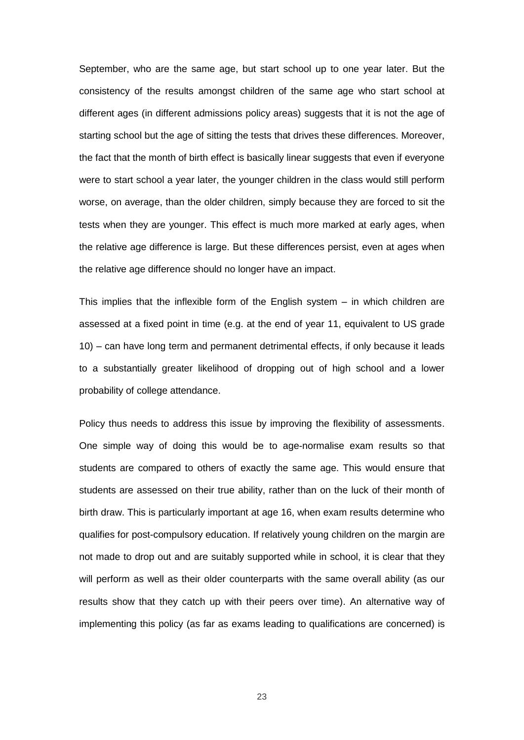September, who are the same age, but start school up to one year later. But the consistency of the results amongst children of the same age who start school at different ages (in different admissions policy areas) suggests that it is not the age of starting school but the age of sitting the tests that drives these differences. Moreover, the fact that the month of birth effect is basically linear suggests that even if everyone were to start school a year later, the younger children in the class would still perform worse, on average, than the older children, simply because they are forced to sit the tests when they are younger. This effect is much more marked at early ages, when the relative age difference is large. But these differences persist, even at ages when the relative age difference should no longer have an impact.

This implies that the inflexible form of the English system – in which children are assessed at a fixed point in time (e.g. at the end of year 11, equivalent to US grade 10) – can have long term and permanent detrimental effects, if only because it leads to a substantially greater likelihood of dropping out of high school and a lower probability of college attendance.

Policy thus needs to address this issue by improving the flexibility of assessments. One simple way of doing this would be to age-normalise exam results so that students are compared to others of exactly the same age. This would ensure that students are assessed on their true ability, rather than on the luck of their month of birth draw. This is particularly important at age 16, when exam results determine who qualifies for post-compulsory education. If relatively young children on the margin are not made to drop out and are suitably supported while in school, it is clear that they will perform as well as their older counterparts with the same overall ability (as our results show that they catch up with their peers over time). An alternative way of implementing this policy (as far as exams leading to qualifications are concerned) is

23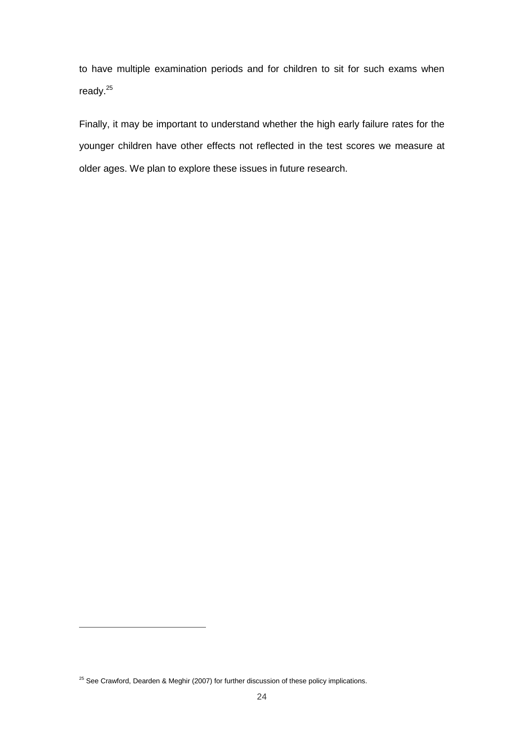to have multiple examination periods and for children to sit for such exams when ready.<sup>25</sup>

Finally, it may be important to understand whether the high early failure rates for the younger children have other effects not reflected in the test scores we measure at older ages. We plan to explore these issues in future research.

 $\overline{a}$ 

 $25$  See Crawford, Dearden & Meghir (2007) for further discussion of these policy implications.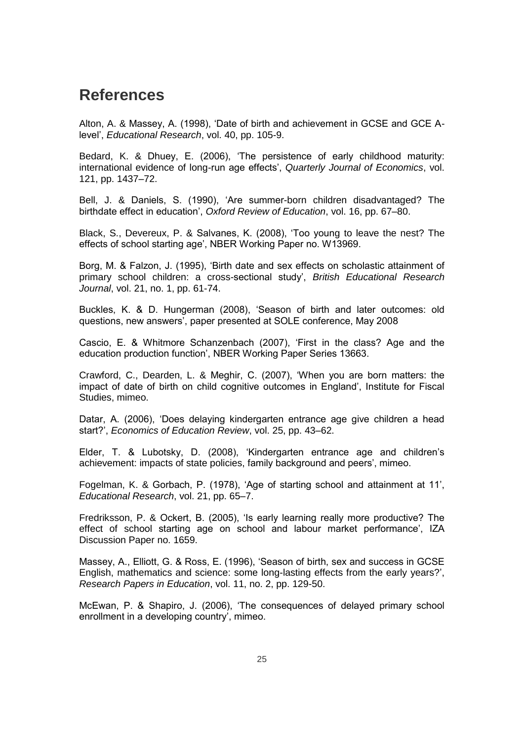# **References**

Alton, A. & Massey, A. (1998), "Date of birth and achievement in GCSE and GCE Alevel", *Educational Research*, vol. 40, pp. 105-9.

Bedard, K. & Dhuey, E. (2006), "The persistence of early childhood maturity: international evidence of long-run age effects", *Quarterly Journal of Economics*, vol. 121, pp. 1437–72.

Bell, J. & Daniels, S. (1990), "Are summer-born children disadvantaged? The birthdate effect in education", *Oxford Review of Education*, vol. 16, pp. 67–80.

Black, S., Devereux, P. & Salvanes, K. (2008), "Too young to leave the nest? The effects of school starting age', NBER Working Paper no. W13969.

Borg, M. & Falzon, J. (1995), "Birth date and sex effects on scholastic attainment of primary school children: a cross-sectional study", *British Educational Research Journal*, vol. 21, no. 1, pp. 61-74.

Buckles, K. & D. Hungerman (2008), "Season of birth and later outcomes: old questions, new answers", paper presented at SOLE conference, May 2008

Cascio, E. & Whitmore Schanzenbach (2007), "First in the class? Age and the education production function", NBER Working Paper Series 13663.

Crawford, C., Dearden, L. & Meghir, C. (2007), "When you are born matters: the impact of date of birth on child cognitive outcomes in England", Institute for Fiscal Studies, mimeo.

Datar, A. (2006), "Does delaying kindergarten entrance age give children a head start?", *Economics of Education Review*, vol. 25, pp. 43–62.

Elder, T. & Lubotsky, D. (2008), "Kindergarten entrance age and children"s achievement: impacts of state policies, family background and peers", mimeo.

Fogelman, K. & Gorbach, P. (1978), "Age of starting school and attainment at 11", *Educational Research*, vol. 21, pp. 65–7.

Fredriksson, P. & Ockert, B. (2005), "Is early learning really more productive? The effect of school starting age on school and labour market performance', IZA Discussion Paper no. 1659.

Massey, A., Elliott, G. & Ross, E. (1996), "Season of birth, sex and success in GCSE English, mathematics and science: some long-lasting effects from the early years?", *Research Papers in Education*, vol. 11, no. 2, pp. 129-50.

McEwan, P. & Shapiro, J. (2006), "The consequences of delayed primary school enrollment in a developing country', mimeo.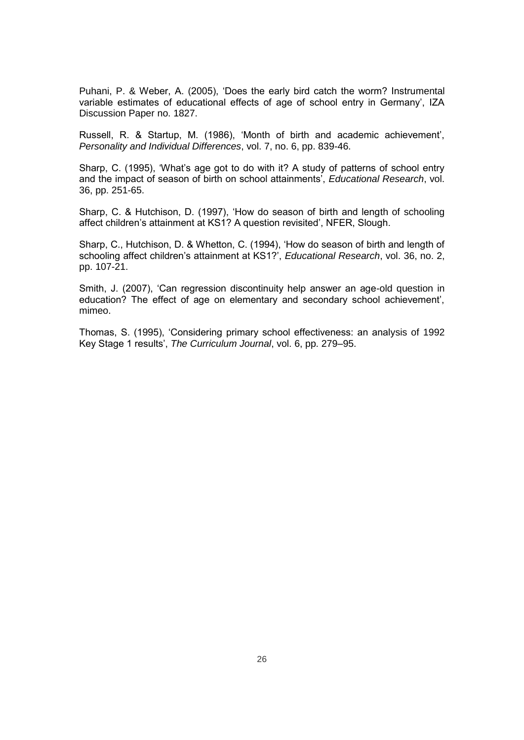Puhani, P. & Weber, A. (2005), "Does the early bird catch the worm? Instrumental variable estimates of educational effects of age of school entry in Germany", IZA Discussion Paper no. 1827.

Russell, R. & Startup, M. (1986), "Month of birth and academic achievement", *Personality and Individual Differences*, vol. 7, no. 6, pp. 839-46.

Sharp, C. (1995), "What"s age got to do with it? A study of patterns of school entry and the impact of season of birth on school attainments", *Educational Research*, vol. 36, pp. 251-65.

Sharp, C. & Hutchison, D. (1997), "How do season of birth and length of schooling affect children's attainment at KS1? A question revisited', NFER, Slough.

Sharp, C., Hutchison, D. & Whetton, C. (1994), "How do season of birth and length of schooling affect children"s attainment at KS1?", *Educational Research*, vol. 36, no. 2, pp. 107-21.

Smith, J. (2007), "Can regression discontinuity help answer an age-old question in education? The effect of age on elementary and secondary school achievement", mimeo.

Thomas, S. (1995), "Considering primary school effectiveness: an analysis of 1992 Key Stage 1 results", *The Curriculum Journal*, vol. 6, pp. 279–95.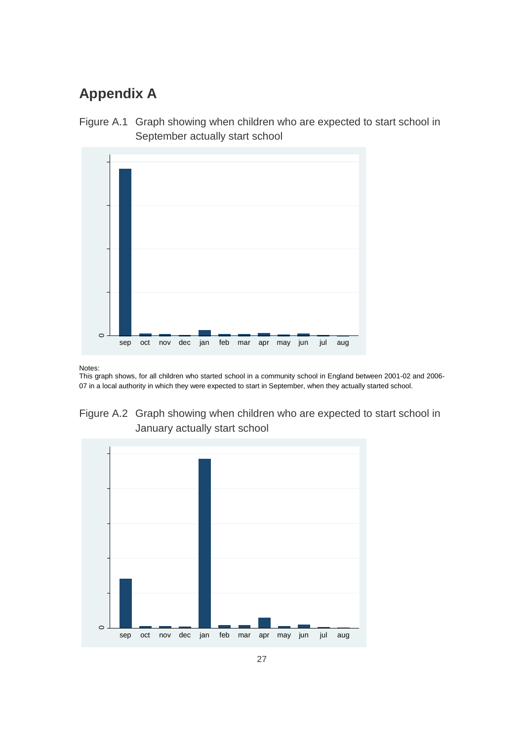# **Appendix A**





Notes:

This graph shows, for all children who started school in a community school in England between 2001-02 and 2006- 07 in a local authority in which they were expected to start in September, when they actually started school.



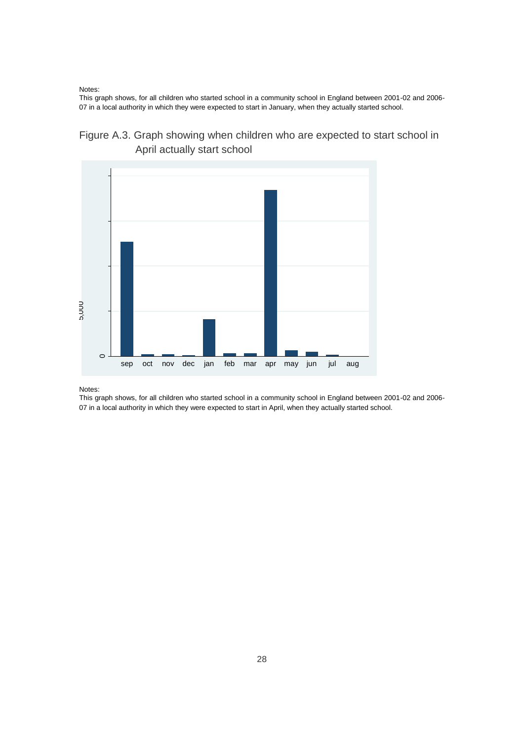Notes:

This graph shows, for all children who started school in a community school in England between 2001-02 and 2006- 07 in a local authority in which they were expected to start in January, when they actually started school.





Notes:

This graph shows, for all children who started school in a community school in England between 2001-02 and 2006- 07 in a local authority in which they were expected to start in April, when they actually started school.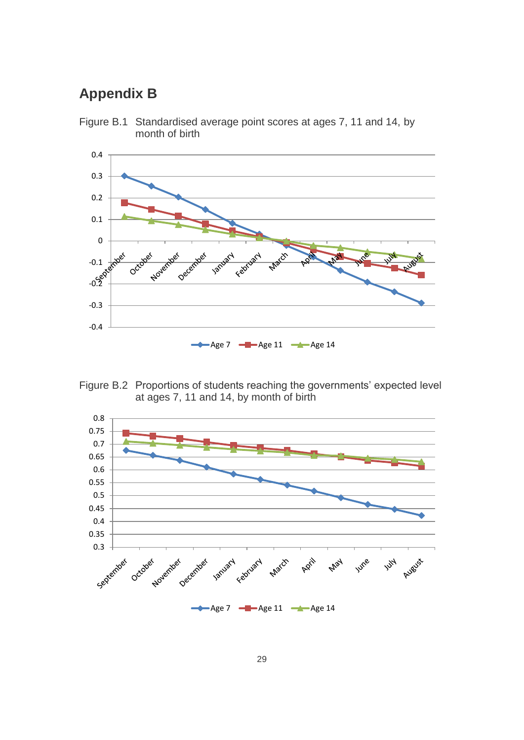# **Appendix B**



Figure B.1 Standardised average point scores at ages 7, 11 and 14, by month of birth

Figure B.2 Proportions of students reaching the governments' expected level at ages 7, 11 and 14, by month of birth

Age 7  $\leftarrow$  Age 11  $\leftarrow$  Age 14